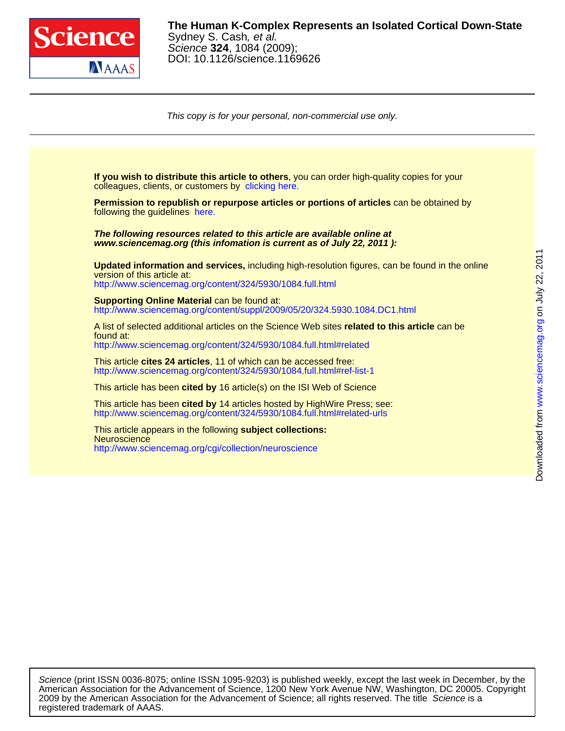

DOI: 10.1126/science.1169626 Science **324**, 1084 (2009); Sydney S. Cash, et al. **The Human K-Complex Represents an Isolated Cortical Down-State**

This copy is for your personal, non-commercial use only.



registered trademark of AAAS. 2009 by the American Association for the Advancement of Science; all rights reserved. The title Science is a American Association for the Advancement of Science, 1200 New York Avenue NW, Washington, DC 20005. Copyright Science (print ISSN 0036-8075; online ISSN 1095-9203) is published weekly, except the last week in December, by the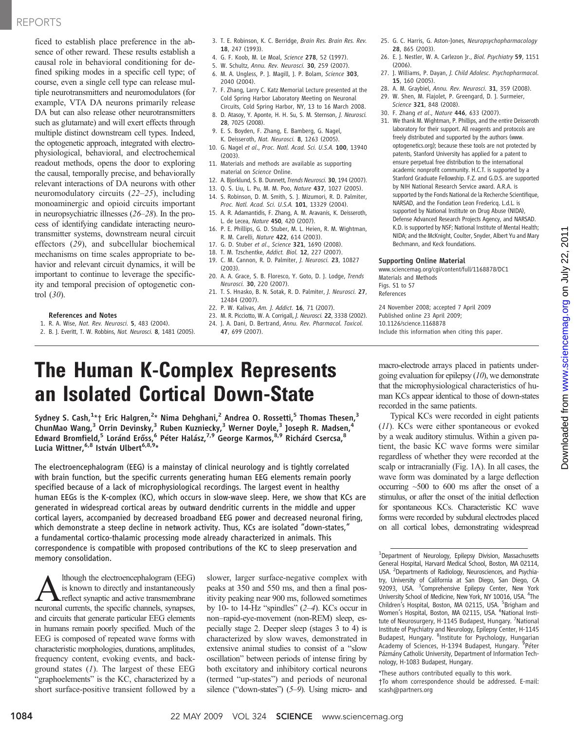### REPORTS

ficed to establish place preference in the absence of other reward. These results establish a causal role in behavioral conditioning for defined spiking modes in a specific cell type; of course, even a single cell type can release multiple neurotransmitters and neuromodulators (for example, VTA DA neurons primarily release DA but can also release other neurotransmitters such as glutamate) and will exert effects through multiple distinct downstream cell types. Indeed, the optogenetic approach, integrated with electrophysiological, behavioral, and electrochemical readout methods, opens the door to exploring the causal, temporally precise, and behaviorally relevant interactions of DA neurons with other neuromodulatory circuits (22–25), including monoaminergic and opioid circuits important in neuropsychiatric illnesses (26–28). In the process of identifying candidate interacting neurotransmitter systems, downstream neural circuit effectors (29), and subcellular biochemical mechanisms on time scales appropriate to behavior and relevant circuit dynamics, it will be important to continue to leverage the specificity and temporal precision of optogenetic control (30).

### References and Notes

- 1. R. A. Wise, Nat. Rev. Neurosci. 5, 483 (2004).
- 2. B. J. Everitt, T. W. Robbins, Nat. Neurosci. 8, 1481 (2005).
- 3. T. E. Robinson, K. C. Berridge, Brain Res. Brain Res. Rev. 18, 247 (1993).
- 4. G. F. Koob, M. Le Moal, Science 278, 52 (1997).
- 5. W. Schultz, Annu. Rev. Neurosci. 30, 259 (2007).
- 6. M. A. Ungless, P. J. Magill, J. P. Bolam, Science 303, 2040 (2004).
- 7. F. Zhang, Larry C. Katz Memorial Lecture presented at the Cold Spring Harbor Laboratory Meeting on Neuronal Circuits, Cold Spring Harbor, NY, 13 to 16 March 2008.
- 8. D. Atasoy, Y. Aponte, H. H. Su, S. M. Sternson, J. Neurosci. 28, 7025 (2008).
- 9. E. S. Boyden, F. Zhang, E. Bamberg, G. Nagel, K. Deisseroth, Nat. Neurosci. 8, 1263 (2005).
- 10. G. Nagel et al., Proc. Natl. Acad. Sci. U.S.A. 100, 13940 (2003).
- 11. Materials and methods are available as supporting material on Science Online.
- 12. A. Bjorklund, S. B. Dunnett, Trends Neurosci. 30, 194 (2007).
- 13. Q. S. Liu, L. Pu, M. M. Poo, Nature 437, 1027 (2005). 14. S. Robinson, D. M. Smith, S. J. Mizumori, R. D. Palmiter,
- Proc. Natl. Acad. Sci. U.S.A. 101, 13329 (2004). 15. A. R. Adamantidis, F. Zhang, A. M. Aravanis, K. Deisseroth, L. de Lecea, Nature 450, 420 (2007).
- 16. P. E. Phillips, G. D. Stuber, M. L. Heien, R. M. Wightman, R. M. Carelli, Nature 422, 614 (2003).
- 17. G. D. Stuber et al., Science 321, 1690 (2008).
- 18. T. M. Tzschentke, Addict. Biol. 12, 227 (2007).
- 19. C. M. Cannon, R. D. Palmiter, J. Neurosci. 23, 10827 (2003).
- 20. A. A. Grace, S. B. Floresco, Y. Goto, D. J. Lodge, Trends Neurosci. 30, 220 (2007).
- 21. T. S. Hnasko, B. N. Sotak, R. D. Palmiter, J. Neurosci. 27, 12484 (2007).
- 22. P. W. Kalivas, Am. J. Addict. 16, 71 (2007).
- 23. M. R. Picciotto, W. A. Corrigall, J. Neurosci. 22, 3338 (2002).
- 24. J. A. Dani, D. Bertrand, Annu. Rev. Pharmacol. Toxicol. 47, 699 (2007).
- 25. G. C. Harris, G. Aston-Jones, Neuropsychopharmacology 28, 865 (2003).
- 26. E. J. Nestler, W. A. Carlezon Jr., Biol. Psychiatry 59, 1151 (2006).
- 27. J. Williams, P. Dayan, J. Child Adolesc. Psychopharmacol. 15, 160 (2005).
- 28. A. M. Graybiel, Annu. Rev. Neurosci. 31, 359 (2008). 29. W. Shen, M. Flajolet, P. Greengard, D. J. Surmeier,
- Science 321, 848 (2008).
- 30. F. Zhang et al., Nature 446, 633 (2007). 31. We thank M. Wightman, P. Phillips, and the entire Deisseroth laboratory for their support. All reagents and protocols are freely distributed and supported by the authors (www. optogenetics.org); because these tools are not protected by patents, Stanford University has applied for a patent to ensure perpetual free distribution to the international academic nonprofit community. H.C.T. is supported by a Stanford Graduate Fellowship. F.Z. and G.D.S. are supported by NIH National Research Service award. A.R.A. is supported by the Fonds National de la Recherche Scientifique, NARSAD, and the Fondation Leon Fredericq. L.d.L. is supported by National Institute on Drug Abuse (NIDA), Defense Advanced Research Projects Agency, and NARSAD. K.D. is supported by NSF; National Institute of Mental Health; NIDA; and the McKnight, Coulter, Snyder, Albert Yu and Mary Bechmann, and Keck foundations.

### Supporting Online Material

www.sciencemag.org/cgi/content/full/1168878/DC1 Materials and Methods Figs. S1 to S7 References

24 November 2008; accepted 7 April 2009 Published online 23 April 2009; 10.1126/science.1168878 Include this information when citing this paper.

# The Human K-Complex Represents an Isolated Cortical Down-State

Sydney S. Cash, $^{1_\star}$ † Eric Halgren, $^{2_\star}$  Nima Dehghani, $^2$  Andrea O. Rossetti, $^5$  Thomas Thesen, $^3$  $\mathsf{ChunMao\ Wang}^3$  Orrin Devinsky, $^3$  Ruben Kuzniecky, $^3$  Werner Doyle, $^3$  Joseph R. Madsen, $^4$ Edward Bromfield,<sup>5</sup> Loránd Erőss,<sup>6</sup> Péter Halász,<sup>7,9</sup> George Karmos,<sup>8,9</sup> Richárd Csercsa,<sup>8</sup> Lucia Wittner,<sup>6,8</sup> István Ulbert<sup>6,8,9\*</sup>

The electroencephalogram (EEG) is a mainstay of clinical neurology and is tightly correlated with brain function, but the specific currents generating human EEG elements remain poorly specified because of a lack of microphysiological recordings. The largest event in healthy human EEGs is the K-complex (KC), which occurs in slow-wave sleep. Here, we show that KCs are generated in widespread cortical areas by outward dendritic currents in the middle and upper cortical layers, accompanied by decreased broadband EEG power and decreased neuronal firing, which demonstrate a steep decline in network activity. Thus, KCs are isolated "down-states," a fundamental cortico-thalamic processing mode already characterized in animals. This correspondence is compatible with proposed contributions of the KC to sleep preservation and memory consolidation.

Although the electroencephalogram (EEG)<br>is known to directly and instantaneously<br>reflect synaptic and active transmembrane<br>neuronal currents the specific channels synapses is known to directly and instantaneously reflect synaptic and active transmembrane neuronal currents, the specific channels, synapses, and circuits that generate particular EEG elements in humans remain poorly specified. Much of the EEG is composed of repeated wave forms with characteristic morphologies, durations, amplitudes, frequency content, evoking events, and background states  $(1)$ . The largest of these EEG "graphoelements" is the KC, characterized by a short surface-positive transient followed by a

slower, larger surface-negative complex with peaks at 350 and 550 ms, and then a final positivity peaking near 900 ms, followed sometimes by 10- to 14-Hz "spindles"  $(2-4)$ . KCs occur in non–rapid-eye-movement (non-REM) sleep, especially stage 2. Deeper sleep (stages 3 to 4) is characterized by slow waves, demonstrated in extensive animal studies to consist of a "slow oscillation" between periods of intense firing by both excitatory and inhibitory cortical neurons (termed "up-states") and periods of neuronal silence ("down-states") (5–9). Using micro- and

macro-electrode arrays placed in patients undergoing evaluation for epilepsy  $(10)$ , we demonstrate that the microphysiological characteristics of human KCs appear identical to those of down-states recorded in the same patients.

Typical KCs were recorded in eight patients (11). KCs were either spontaneous or evoked by a weak auditory stimulus. Within a given patient, the basic KC wave forms were similar regardless of whether they were recorded at the scalp or intracranially (Fig. 1A). In all cases, the wave form was dominated by a large deflection occurring ~500 to 600 ms after the onset of a stimulus, or after the onset of the initial deflection for spontaneous KCs. Characteristic KC wave forms were recorded by subdural electrodes placed on all cortical lobes, demonstrating widespread

<sup>1</sup>Department of Neurology, Epilepsy Division, Massachusetts General Hospital, Harvard Medical School, Boston, MA 02114, USA. <sup>2</sup>Departments of Radiology, Neurosciences, and Psychiatry, University of California at San Diego, San Diego, CA 92093, USA. <sup>3</sup>Comprehensive Epilepsy Center, New York University School of Medicine, New York, NY 10016, USA. <sup>4</sup>The Children's Hospital, Boston, MA 02115, USA. <sup>5</sup>Brigham and Women's Hospital, Boston, MA 02115, USA. <sup>6</sup>National Institute of Neurosurgery, H-1145 Budapest, Hungary. <sup>7</sup>National Institute of Psychiatry and Neurology, Epilepsy Center, H-1145<br>Budapest, Hungary. <sup>8</sup>Institute for Psychology, Hungarian Academy of Sciences, H-1394 Budapest, Hungary. <sup>9</sup>Péter Pázmány Catholic University, Department of Information Technology, H-1083 Budapest, Hungary.

\*These authors contributed equally to this work.

†To whom correspondence should be addressed. E-mail: scash@partners.org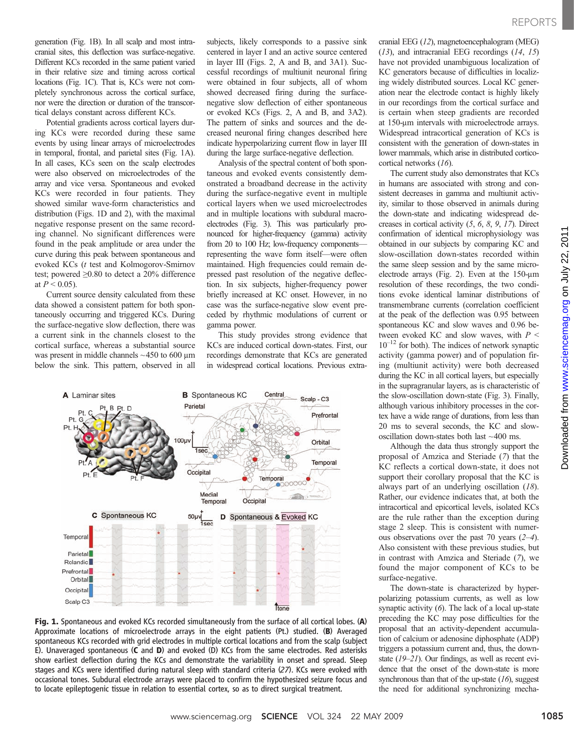generation (Fig. 1B). In all scalp and most intracranial sites, this deflection was surface-negative. Different KCs recorded in the same patient varied in their relative size and timing across cortical locations (Fig. 1C). That is, KCs were not completely synchronous across the cortical surface, nor were the direction or duration of the transcortical delays constant across different KCs.

Potential gradients across cortical layers during KCs were recorded during these same events by using linear arrays of microelectrodes in temporal, frontal, and parietal sites (Fig. 1A). In all cases, KCs seen on the scalp electrodes were also observed on microelectrodes of the array and vice versa. Spontaneous and evoked KCs were recorded in four patients. They showed similar wave-form characteristics and distribution (Figs. 1D and 2), with the maximal negative response present on the same recording channel. No significant differences were found in the peak amplitude or area under the curve during this peak between spontaneous and evoked KCs (t test and Kolmogorov-Smirnov test; powered ≥0.80 to detect a 20% difference at  $P < 0.05$ ).

Current source density calculated from these data showed a consistent pattern for both spontaneously occurring and triggered KCs. During the surface-negative slow deflection, there was a current sink in the channels closest to the cortical surface, whereas a substantial source was present in middle channels  $\sim$  450 to 600  $\mu$ m below the sink. This pattern, observed in all

subjects, likely corresponds to a passive sink centered in layer I and an active source centered in layer III (Figs. 2, A and B, and 3A1). Successful recordings of multiunit neuronal firing were obtained in four subjects, all of whom showed decreased firing during the surfacenegative slow deflection of either spontaneous or evoked KCs (Figs. 2, A and B, and 3A2). The pattern of sinks and sources and the decreased neuronal firing changes described here indicate hyperpolarizing current flow in layer III during the large surface-negative deflection.

Analysis of the spectral content of both spontaneous and evoked events consistently demonstrated a broadband decrease in the activity during the surface-negative event in multiple cortical layers when we used microelectrodes and in multiple locations with subdural macroelectrodes (Fig. 3). This was particularly pronounced for higher-frequency (gamma) activity from 20 to 100 Hz; low-frequency components representing the wave form itself—were often maintained. High frequencies could remain depressed past resolution of the negative deflection. In six subjects, higher-frequency power briefly increased at KC onset. However, in no case was the surface-negative slow event preceded by rhythmic modulations of current or gamma power.

This study provides strong evidence that KCs are induced cortical down-states. First, our recordings demonstrate that KCs are generated in widespread cortical locations. Previous extra-



Fig. 1. Spontaneous and evoked KCs recorded simultaneously from the surface of all cortical lobes. (A) Approximate locations of microelectrode arrays in the eight patients (Pt.) studied. (B) Averaged spontaneous KCs recorded with grid electrodes in multiple cortical locations and from the scalp (subject E). Unaveraged spontaneous (C and D) and evoked (D) KCs from the same electrodes. Red asterisks show earliest deflection during the KCs and demonstrate the variability in onset and spread. Sleep stages and KCs were identified during natural sleep with standard criteria (27). KCs were evoked with occasional tones. Subdural electrode arrays were placed to confirm the hypothesized seizure focus and to locate epileptogenic tissue in relation to essential cortex, so as to direct surgical treatment.

cranial EEG (12), magnetoencephalogram (MEG) (13), and intracranial EEG recordings (14, 15) have not provided unambiguous localization of KC generators because of difficulties in localizing widely distributed sources. Local KC generation near the electrode contact is highly likely in our recordings from the cortical surface and is certain when steep gradients are recorded at 150-um intervals with microelectrode arrays. Widespread intracortical generation of KCs is consistent with the generation of down-states in lower mammals, which arise in distributed corticocortical networks (16).

The current study also demonstrates that KCs in humans are associated with strong and consistent decreases in gamma and multiunit activity, similar to those observed in animals during the down-state and indicating widespread decreases in cortical activity (5, 6, 8, 9, 17). Direct confirmation of identical microphysiology was obtained in our subjects by comparing KC and slow-oscillation down-states recorded within the same sleep session and by the same microelectrode arrays (Fig. 2). Even at the 150-um resolution of these recordings, the two conditions evoke identical laminar distributions of transmembrane currents (correlation coefficient at the peak of the deflection was 0.95 between spontaneous KC and slow waves and 0.96 between evoked KC and slow waves, with  $P \leq$  $10^{-12}$  for both). The indices of network synaptic activity (gamma power) and of population firing (multiunit activity) were both decreased during the KC in all cortical layers, but especially in the supragranular layers, as is characteristic of the slow-oscillation down-state (Fig. 3). Finally, although various inhibitory processes in the cortex have a wide range of durations, from less than 20 ms to several seconds, the KC and slowoscillation down-states both last ~400 ms.

Although the data thus strongly support the proposal of Amzica and Steriade (7) that the KC reflects a cortical down-state, it does not support their corollary proposal that the KC is always part of an underlying oscillation (18). Rather, our evidence indicates that, at both the intracortical and epicortical levels, isolated KCs are the rule rather than the exception during stage 2 sleep. This is consistent with numerous observations over the past 70 years (2–4). Also consistent with these previous studies, but in contrast with Amzica and Steriade (7), we found the major component of KCs to be surface-negative.

The down-state is characterized by hyperpolarizing potassium currents, as well as low synaptic activity (6). The lack of a local up-state preceding the KC may pose difficulties for the proposal that an activity-dependent accumulation of calcium or adenosine diphosphate (ADP) triggers a potassium current and, thus, the downstate (19–21). Our findings, as well as recent evidence that the onset of the down-state is more synchronous than that of the up-state  $(16)$ , suggest the need for additional synchronizing mecha-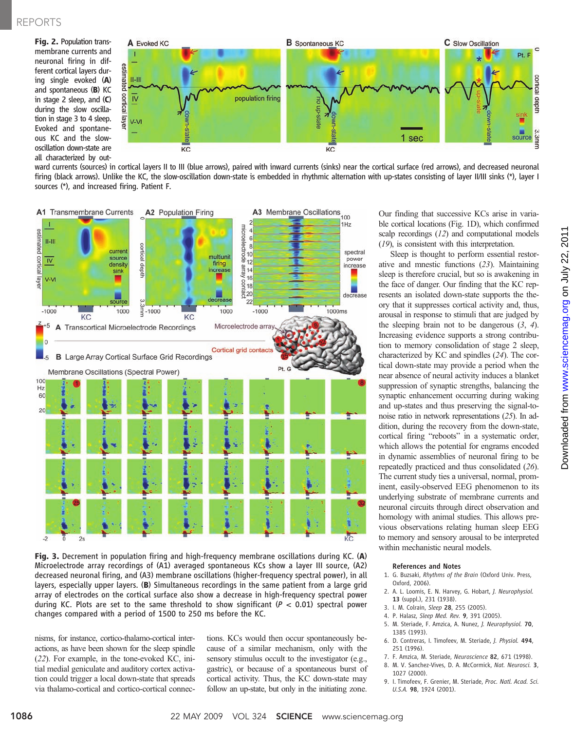## REPORTS

Fig. 2. Population transmembrane currents and neuronal firing in different cortical layers during single evoked (A) and spontaneous (B) KC in stage 2 sleep, and (C) during the slow oscillation in stage 3 to 4 sleep. Evoked and spontaneous KC and the slowoscillation down-state are all characterized by out-



ward currents (sources) in cortical layers II to III (blue arrows), paired with inward currents (sinks) near the cortical surface (red arrows), and decreased neuronal firing (black arrows). Unlike the KC, the slow-oscillation down-state is embedded in rhythmic alternation with up-states consisting of layer II/III sinks (\*), layer I sources (\*), and increased firing. Patient F.



Fig. 3. Decrement in population firing and high-frequency membrane oscillations during KC. (A) Microelectrode array recordings of (A1) averaged spontaneous KCs show a layer III source, (A2) decreased neuronal firing, and (A3) membrane oscillations (higher-frequency spectral power), in all layers, especially upper layers. (B) Simultaneous recordings in the same patient from a large grid array of electrodes on the cortical surface also show a decrease in high-frequency spectral power during KC. Plots are set to the same threshold to show significant ( $P < 0.01$ ) spectral power changes compared with a period of 1500 to 250 ms before the KC.

nisms, for instance, cortico-thalamo-cortical interactions, as have been shown for the sleep spindle (22). For example, in the tone-evoked KC, initial medial geniculate and auditory cortex activation could trigger a local down-state that spreads via thalamo-cortical and cortico-cortical connections. KCs would then occur spontaneously because of a similar mechanism, only with the sensory stimulus occult to the investigator (e.g., gastric), or because of a spontaneous burst of cortical activity. Thus, the KC down-state may follow an up-state, but only in the initiating zone.

Our finding that successive KCs arise in variable cortical locations (Fig. 1D), which confirmed scalp recordings (12) and computational models (19), is consistent with this interpretation.

Sleep is thought to perform essential restorative and mnestic functions (23). Maintaining sleep is therefore crucial, but so is awakening in the face of danger. Our finding that the KC represents an isolated down-state supports the theory that it suppresses cortical activity and, thus, arousal in response to stimuli that are judged by the sleeping brain not to be dangerous  $(3, 4)$ . Increasing evidence supports a strong contribution to memory consolidation of stage 2 sleep, characterized by KC and spindles (24). The cortical down-state may provide a period when the near absence of neural activity induces a blanket suppression of synaptic strengths, balancing the synaptic enhancement occurring during waking and up-states and thus preserving the signal-tonoise ratio in network representations (25). In addition, during the recovery from the down-state, cortical firing "reboots" in a systematic order, which allows the potential for engrams encoded in dynamic assemblies of neuronal firing to be repeatedly practiced and thus consolidated (26). The current study ties a universal, normal, prominent, easily-observed EEG phenomenon to its underlying substrate of membrane currents and neuronal circuits through direct observation and homology with animal studies. This allows previous observations relating human sleep EEG to memory and sensory arousal to be interpreted within mechanistic neural models.

#### References and Notes

- 1. G. Buzsaki, Rhythms of the Brain (Oxford Univ. Press, Oxford, 2006).
- 2. A. L. Loomis, E. N. Harvey, G. Hobart, J. Neurophysiol. 13 (suppl.), 231 (1938).
- 3. I. M. Colrain, Sleep 28, 255 (2005).
- 4. P. Halasz, Sleep Med. Rev. 9, 391 (2005).
- 5. M. Steriade, F. Amzica, A. Nunez, J. Neurophysiol. 70, 1385 (1993).
- 6. D. Contreras, I. Timofeev, M. Steriade, J. Physiol. 494, 251 (1996).
- 7. F. Amzica, M. Steriade, Neuroscience 82, 671 (1998).
- 8. M. V. Sanchez-Vives, D. A. McCormick, Nat. Neurosci. 3, 1027 (2000).
- 9. I. Timofeev, F. Grenier, M. Steriade, Proc. Natl. Acad. Sci. U.S.A. 98, 1924 (2001).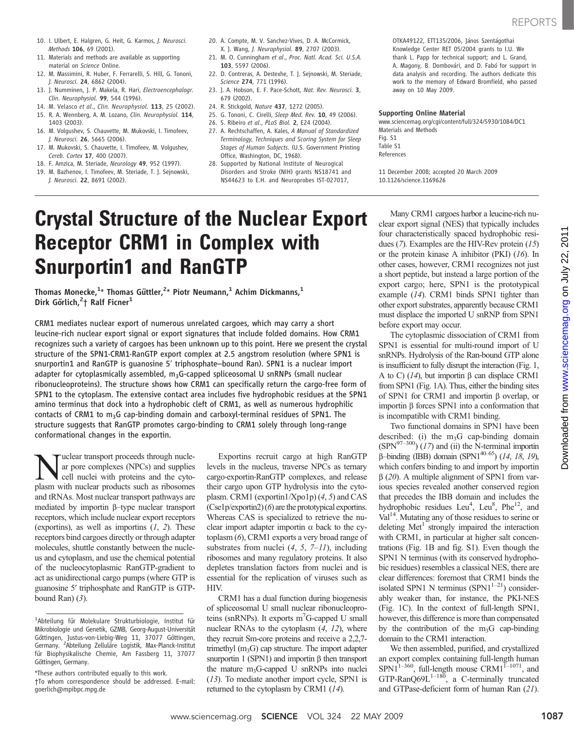- 10. I. Ulbert, E. Halgren, G. Heit, G. Karmos, J. Neurosci. Methods 106, 69 (2001).
- 11. Materials and methods are available as supporting material on Science Online.
- 12. M. Massimini, R. Huber, F. Ferrarelli, S. Hill, G. Tononi, J. Neurosci. 24, 6862 (2004).
- 13. J. Numminen, J. P. Makela, R. Hari, Electroencephalogr. Clin. Neurophysiol. 99, 544 (1996).
- 14. M. Velasco et al., Clin. Neurophysiol. 113, 25 (2002).
- 15. R. A. Wennberg, A. M. Lozano, Clin. Neurophysiol. 114, 1403 (2003).
- 16. M. Volgushev, S. Chauvette, M. Mukovski, I. Timofeev, J. Neurosci. 26, 5665 (2006).
- 17. M. Mukovski, S. Chauvette, I. Timofeev, M. Volgushev, Cereb. Cortex 17, 400 (2007).
- 18. F. Amzica, M. Steriade, Neurology 49, 952 (1997).
- 19. M. Bazhenov, I. Timofeev, M. Steriade, T. J. Sejnowski, J. Neurosci. 22, 8691 (2002).
- 20. A. Compte, M. V. Sanchez-Vives, D. A. McCormick, X. J. Wang, J. Neurophysiol. 89, 2707 (2003).
- 21. M. O. Cunningham et al., Proc. Natl. Acad. Sci. U.S.A. 103, 5597 (2006).
- 22. D. Contreras, A. Destexhe, T. J. Sejnowski, M. Steriade, Science 274, 771 (1996).
- 23. J. A. Hobson, E. F. Pace-Schott, Nat. Rev. Neurosci. 3, 679 (2002).
- 24. R. Stickgold, Nature 437, 1272 (2005).
- 25. G. Tononi, C. Cirelli, Sleep Med. Rev. 10, 49 (2006).
- 26. S. Ribeiro et al., PLoS Biol. 2, E24 (2004). 27. A. Rechtschaffen, A. Kales, A Manual of Standardized Terminology, Techniques and Scoring System for Sleep Stages of Human Subjects. (U.S. Government Printing Office, Washington, DC, 1968).
- 28. Supported by National Institute of Neurogical Disorders and Stroke (NIH) grants NS18741 and NS44623 to E.H. and Neuroprobes IST-027017,

OTKA49122, ETT135/2006, János Szentágothai Knowledge Center RET 05/2004 grants to I.U. We thank L. Papp for technical support; and L. Grand, A. Magony, B. Dombovári, and D. Fabó for support in data analysis and recording. The authors dedicate this work to the memory of Edward Bromfield, who passed away on 10 May 2009.

### Supporting Online Material

www.sciencemag.org/cgi/content/full/324/5930/1084/DC1 Materials and Methods Fig. S1 Table S1 References

11 December 2008; accepted 20 March 2009 10.1126/science.1169626

# Crystal Structure of the Nuclear Export Receptor CRM1 in Complex with Snurportin1 and RanGTP

Thomas Monecke, $^{1_\star}$  Thomas Güttler, $^{2_\star}$  Piotr Neumann, $^{1}$  Achim Dickmanns, $^{1}$ Dirk Görlich,<sup>2</sup>† Ralf Ficner<sup>1</sup>

CRM1 mediates nuclear export of numerous unrelated cargoes, which may carry a short leucine-rich nuclear export signal or export signatures that include folded domains. How CRM1 recognizes such a variety of cargoes has been unknown up to this point. Here we present the crystal structure of the SPN1⋅CRM1⋅RanGTP export complex at 2.5 angstrom resolution (where SPN1 is snurportin1 and RanGTP is guanosine 5′ triphosphate–bound Ran). SPN1 is a nuclear import adapter for cytoplasmically assembled,  $m_3G$ -capped spliceosomal U snRNPs (small nuclear ribonucleoproteins). The structure shows how CRM1 can specifically return the cargo-free form of SPN1 to the cytoplasm. The extensive contact area includes five hydrophobic residues at the SPN1 amino terminus that dock into a hydrophobic cleft of CRM1, as well as numerous hydrophilic contacts of CRM1 to  $m_3$ G cap-binding domain and carboxyl-terminal residues of SPN1. The structure suggests that RanGTP promotes cargo-binding to CRM1 solely through long-range conformational changes in the exportin.

Nuclear transport proceeds through nucle-<br>ar pore complexes (NPCs) and supplies<br>cell nuclei with proteins and the cyto-<br>plasm with nuclear products such as ribosomes ar pore complexes (NPCs) and supplies plasm with nuclear products such as ribosomes and tRNAs. Most nuclear transport pathways are mediated by importin b–type nuclear transport receptors, which include nuclear export receptors (exportins), as well as importins  $(1, 2)$ . These receptors bind cargoes directly or through adapter molecules, shuttle constantly between the nucleus and cytoplasm, and use the chemical potential of the nucleocytoplasmic RanGTP-gradient to act as unidirectional cargo pumps (where GTP is guanosine 5′ triphosphate and RanGTP is GTPbound Ran $(3)$ .

Exportins recruit cargo at high RanGTP levels in the nucleus, traverse NPCs as ternary cargo⋅exportin⋅RanGTP complexes, and release their cargo upon GTP hydrolysis into the cytoplasm. CRM1 (exportin1/Xpo1p) (4, 5) and CAS (Cse1p/exportin2) (6) are the prototypical exportins. Whereas CAS is specialized to retrieve the nuclear import adapter importin  $\alpha$  back to the cytoplasm (6), CRM1 exports a very broad range of substrates from nuclei  $(4, 5, 7-11)$ , including ribosomes and many regulatory proteins. It also depletes translation factors from nuclei and is essential for the replication of viruses such as HIV.

CRM1 has a dual function during biogenesis of spliceosomal U small nuclear ribonucleoproteins (snRNPs). It exports m<sup>7</sup>G-capped U small nuclear RNAs to the cytoplasm (4, 12), where they recruit Sm-core proteins and receive a 2,2,7 trimethyl  $(m_3G)$  cap structure. The import adapter snurportin  $1$  (SPN1) and importin  $\beta$  then transport the mature  $m_3G$ -capped U snRNPs into nuclei (13). To mediate another import cycle, SPN1 is returned to the cytoplasm by CRM1 (14).

Many CRM1 cargoes harbor a leucine-rich nuclear export signal (NES) that typically includes four characteristically spaced hydrophobic residues (7). Examples are the HIV-Rev protein (15) or the protein kinase A inhibitor (PKI) (16). In other cases, however, CRM1 recognizes not just a short peptide, but instead a large portion of the export cargo; here, SPN1 is the prototypical example (14). CRM1 binds SPN1 tighter than other export substrates, apparently because CRM1 must displace the imported U snRNP from SPN1 before export may occur.

The cytoplasmic dissociation of CRM1 from SPN1 is essential for multi-round import of U snRNPs. Hydrolysis of the Ran-bound GTP alone is insufficient to fully disrupt the interaction (Fig. 1, A to C)  $(14)$ , but importin  $\beta$  can displace CRM1 from SPN1 (Fig. 1A). Thus, either the binding sites of SPN1 for CRM1 and importin  $\beta$  overlap, or importin  $\beta$  forces SPN1 into a conformation that is incompatible with CRM1 binding.

Two functional domains in SPN1 have been described: (i) the  $m_3G$  cap-binding domain  $(SPN<sup>97–300</sup>)$  (17) and (ii) the N-terminal importin  $\beta$ –binding (IBB) domain (SPN1<sup>40–65</sup>) (14, 18, 19), which confers binding to and import by importin  $\beta$  (20). A multiple alignment of SPN1 from various species revealed another conserved region that precedes the IBB domain and includes the hydrophobic residues Leu<sup>4</sup>, Leu<sup>8</sup>, Phe<sup>12</sup>, and  $Val<sup>14</sup>$ . Mutating any of those residues to serine or deleting Met<sup>1</sup> strongly impaired the interaction with CRM1, in particular at higher salt concentrations (Fig. 1B and fig. S1). Even though the SPN1 N terminus (with its conserved hydrophobic residues) resembles a classical NES, there are clear differences: foremost that CRM1 binds the isolated SPN1 N terminus (SPN1<sup>1–21</sup>) considerably weaker than, for instance, the PKI-NES (Fig. 1C). In the context of full-length SPN1, however, this difference is more than compensated by the contribution of the  $m_3G$  cap-binding domain to the CRM1 interaction.

We then assembled, purified, and crystallized an export complex containing full-length human  $SPN1^{1-360}$ , full-length mouse CRM1<sup>1-1071</sup>, and GTP-RanQ69L<sup>1–180</sup>, a C-terminally truncated and GTPase-deficient form of human Ran (21).

<sup>1</sup> Abteilung für Molekulare Strukturbiologie, Institut für Mikrobiologie und Genetik, GZMB, Georg-August-Universität Göttingen, Justus-von-Liebig-Weg 11, 37077 Göttingen, Germany. <sup>2</sup>Abteilung Zelluläre Logistik, Max-Planck-Institut für Biophysikalische Chemie, Am Fassberg 11, 37077 Göttingen, Germany.

<sup>\*</sup>These authors contributed equally to this work. †To whom correspondence should be addressed. E-mail: goerlich@mpibpc.mpg.de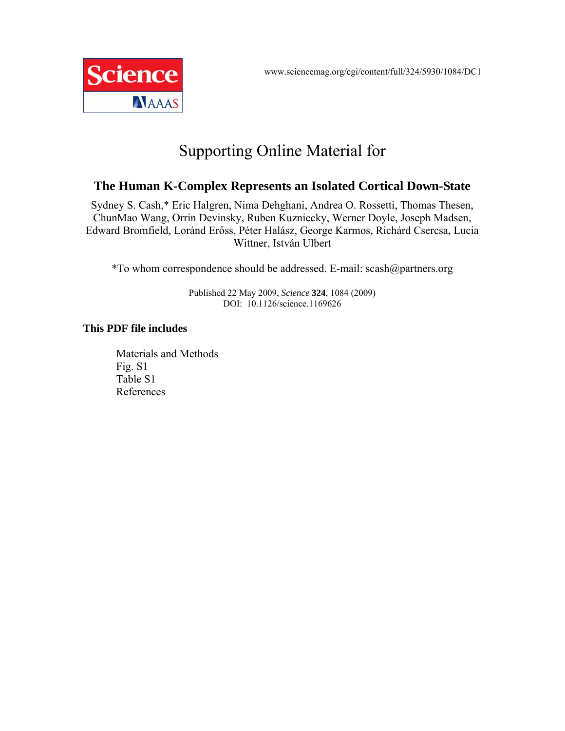

## Supporting Online Material for

## **The Human K-Complex Represents an Isolated Cortical Down-State**

Sydney S. Cash,\* Eric Halgren, Nima Dehghani, Andrea O. Rossetti, Thomas Thesen, ChunMao Wang, Orrin Devinsky, Ruben Kuzniecky, Werner Doyle, Joseph Madsen, Edward Bromfield, Loránd Erőss, Péter Halász, George Karmos, Richárd Csercsa, Lucia Wittner, István Ulbert

\*To whom correspondence should be addressed. E-mail: scash@partners.org

Published 22 May 2009, *Science* **324**, 1084 (2009) DOI: 10.1126/science.1169626

## **This PDF file includes**

Materials and Methods Fig. S1 Table S1 References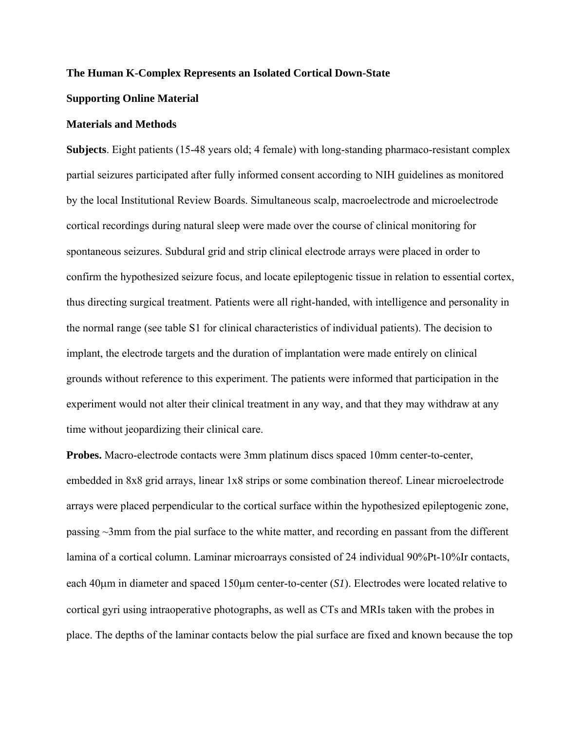### **The Human K-Complex Represents an Isolated Cortical Down-State**

### **Supporting Online Material**

## **Materials and Methods**

**Subjects**. Eight patients (15-48 years old; 4 female) with long-standing pharmaco-resistant complex partial seizures participated after fully informed consent according to NIH guidelines as monitored by the local Institutional Review Boards. Simultaneous scalp, macroelectrode and microelectrode cortical recordings during natural sleep were made over the course of clinical monitoring for spontaneous seizures. Subdural grid and strip clinical electrode arrays were placed in order to confirm the hypothesized seizure focus, and locate epileptogenic tissue in relation to essential cortex, thus directing surgical treatment. Patients were all right-handed, with intelligence and personality in the normal range (see table S1 for clinical characteristics of individual patients). The decision to implant, the electrode targets and the duration of implantation were made entirely on clinical grounds without reference to this experiment. The patients were informed that participation in the experiment would not alter their clinical treatment in any way, and that they may withdraw at any time without jeopardizing their clinical care.

**Probes.** Macro-electrode contacts were 3mm platinum discs spaced 10mm center-to-center, embedded in 8x8 grid arrays, linear 1x8 strips or some combination thereof. Linear microelectrode arrays were placed perpendicular to the cortical surface within the hypothesized epileptogenic zone, passing ~3mm from the pial surface to the white matter, and recording en passant from the different lamina of a cortical column. Laminar microarrays consisted of 24 individual 90%Pt-10%Ir contacts, each 40μm in diameter and spaced 150μm center-to-center (*S1*). Electrodes were located relative to cortical gyri using intraoperative photographs, as well as CTs and MRIs taken with the probes in place. The depths of the laminar contacts below the pial surface are fixed and known because the top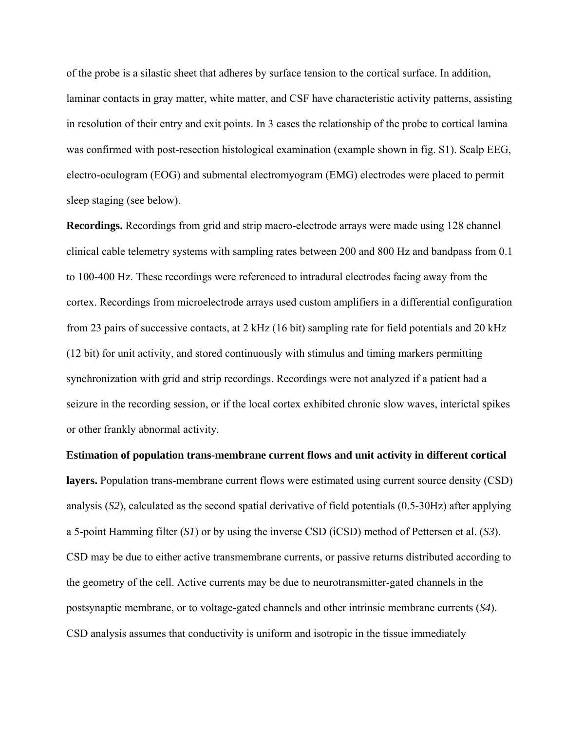of the probe is a silastic sheet that adheres by surface tension to the cortical surface. In addition, laminar contacts in gray matter, white matter, and CSF have characteristic activity patterns, assisting in resolution of their entry and exit points. In 3 cases the relationship of the probe to cortical lamina was confirmed with post-resection histological examination (example shown in fig. S1). Scalp EEG, electro-oculogram (EOG) and submental electromyogram (EMG) electrodes were placed to permit sleep staging (see below).

**Recordings.** Recordings from grid and strip macro-electrode arrays were made using 128 channel clinical cable telemetry systems with sampling rates between 200 and 800 Hz and bandpass from 0.1 to 100-400 Hz. These recordings were referenced to intradural electrodes facing away from the cortex. Recordings from microelectrode arrays used custom amplifiers in a differential configuration from 23 pairs of successive contacts, at 2 kHz (16 bit) sampling rate for field potentials and 20 kHz (12 bit) for unit activity, and stored continuously with stimulus and timing markers permitting synchronization with grid and strip recordings. Recordings were not analyzed if a patient had a seizure in the recording session, or if the local cortex exhibited chronic slow waves, interictal spikes or other frankly abnormal activity.

**Estimation of population trans-membrane current flows and unit activity in different cortical layers.** Population trans-membrane current flows were estimated using current source density (CSD) analysis (*S2*), calculated as the second spatial derivative of field potentials (0.5-30Hz) after applying a 5-point Hamming filter (*S1*) or by using the inverse CSD (iCSD) method of Pettersen et al. (*S3*). CSD may be due to either active transmembrane currents, or passive returns distributed according to the geometry of the cell. Active currents may be due to neurotransmitter-gated channels in the postsynaptic membrane, or to voltage-gated channels and other intrinsic membrane currents (*S4*). CSD analysis assumes that conductivity is uniform and isotropic in the tissue immediately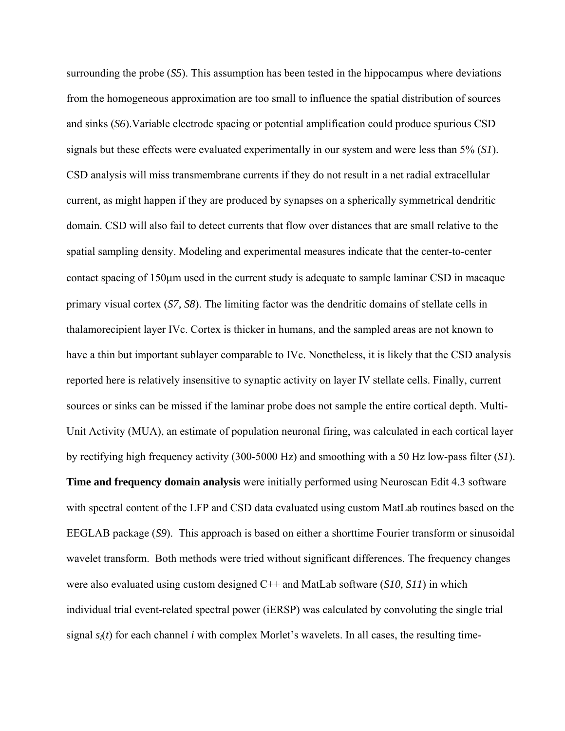surrounding the probe (*S5*). This assumption has been tested in the hippocampus where deviations from the homogeneous approximation are too small to influence the spatial distribution of sources and sinks (*S6*).Variable electrode spacing or potential amplification could produce spurious CSD signals but these effects were evaluated experimentally in our system and were less than 5% (*S1*). CSD analysis will miss transmembrane currents if they do not result in a net radial extracellular current, as might happen if they are produced by synapses on a spherically symmetrical dendritic domain. CSD will also fail to detect currents that flow over distances that are small relative to the spatial sampling density. Modeling and experimental measures indicate that the center-to-center contact spacing of 150μm used in the current study is adequate to sample laminar CSD in macaque primary visual cortex (*S7, S8*). The limiting factor was the dendritic domains of stellate cells in thalamorecipient layer IVc. Cortex is thicker in humans, and the sampled areas are not known to have a thin but important sublayer comparable to IVc. Nonetheless, it is likely that the CSD analysis reported here is relatively insensitive to synaptic activity on layer IV stellate cells. Finally, current sources or sinks can be missed if the laminar probe does not sample the entire cortical depth. Multi-Unit Activity (MUA), an estimate of population neuronal firing, was calculated in each cortical layer by rectifying high frequency activity (300-5000 Hz) and smoothing with a 50 Hz low-pass filter (*S1*). **Time and frequency domain analysis** were initially performed using Neuroscan Edit 4.3 software with spectral content of the LFP and CSD data evaluated using custom MatLab routines based on the EEGLAB package (*S9*). This approach is based on either a shorttime Fourier transform or sinusoidal wavelet transform. Both methods were tried without significant differences. The frequency changes were also evaluated using custom designed C++ and MatLab software (*S10, S11*) in which individual trial event-related spectral power (iERSP) was calculated by convoluting the single trial signal  $s_i(t)$  for each channel *i* with complex Morlet's wavelets. In all cases, the resulting time-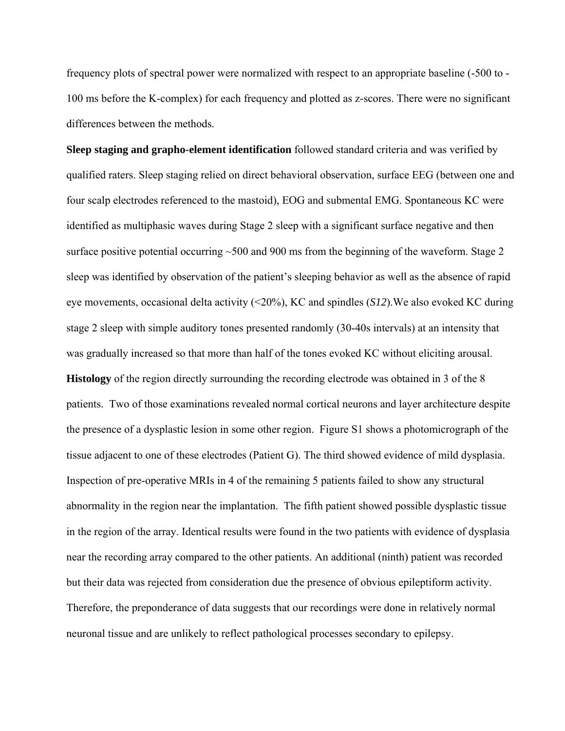frequency plots of spectral power were normalized with respect to an appropriate baseline (-500 to - 100 ms before the K-complex) for each frequency and plotted as z-scores. There were no significant differences between the methods.

**Sleep staging and grapho-element identification** followed standard criteria and was verified by qualified raters. Sleep staging relied on direct behavioral observation, surface EEG (between one and four scalp electrodes referenced to the mastoid), EOG and submental EMG. Spontaneous KC were identified as multiphasic waves during Stage 2 sleep with a significant surface negative and then surface positive potential occurring ~500 and 900 ms from the beginning of the waveform. Stage 2 sleep was identified by observation of the patient's sleeping behavior as well as the absence of rapid eye movements, occasional delta activity (<20%), KC and spindles (*S12*).We also evoked KC during stage 2 sleep with simple auditory tones presented randomly (30-40s intervals) at an intensity that was gradually increased so that more than half of the tones evoked KC without eliciting arousal. **Histology** of the region directly surrounding the recording electrode was obtained in 3 of the 8 patients. Two of those examinations revealed normal cortical neurons and layer architecture despite the presence of a dysplastic lesion in some other region. Figure S1 shows a photomicrograph of the tissue adjacent to one of these electrodes (Patient G). The third showed evidence of mild dysplasia. Inspection of pre-operative MRIs in 4 of the remaining 5 patients failed to show any structural abnormality in the region near the implantation. The fifth patient showed possible dysplastic tissue in the region of the array. Identical results were found in the two patients with evidence of dysplasia near the recording array compared to the other patients. An additional (ninth) patient was recorded but their data was rejected from consideration due the presence of obvious epileptiform activity. Therefore, the preponderance of data suggests that our recordings were done in relatively normal neuronal tissue and are unlikely to reflect pathological processes secondary to epilepsy.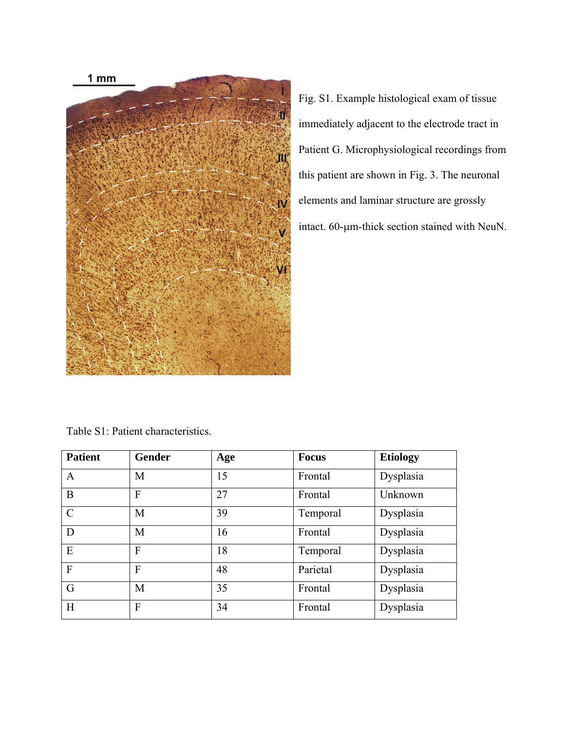

Fig. S1. Example histological exam of tissue immediately adjacent to the electrode tract in Patient G. Microphysiological recordings from this patient are shown in Fig. 3. The neuronal elements and laminar structure are grossly intact. 60-μm-thick section stained with NeuN.

| <b>Patient</b> | <b>Gender</b> | Age | <b>Focus</b> | <b>Etiology</b> |
|----------------|---------------|-----|--------------|-----------------|
| A              | M             | 15  | Frontal      | Dysplasia       |
| B              | F             | 27  | Frontal      | Unknown         |
| $\mathcal{C}$  | M             | 39  | Temporal     | Dysplasia       |
| D              | M             | 16  | Frontal      | Dysplasia       |
| E              | F             | 18  | Temporal     | Dysplasia       |
| $\mathbf{F}$   | F             | 48  | Parietal     | Dysplasia       |
| G              | M             | 35  | Frontal      | Dysplasia       |
| H              | F             | 34  | Frontal      | Dysplasia       |

Table S1: Patient characteristics.